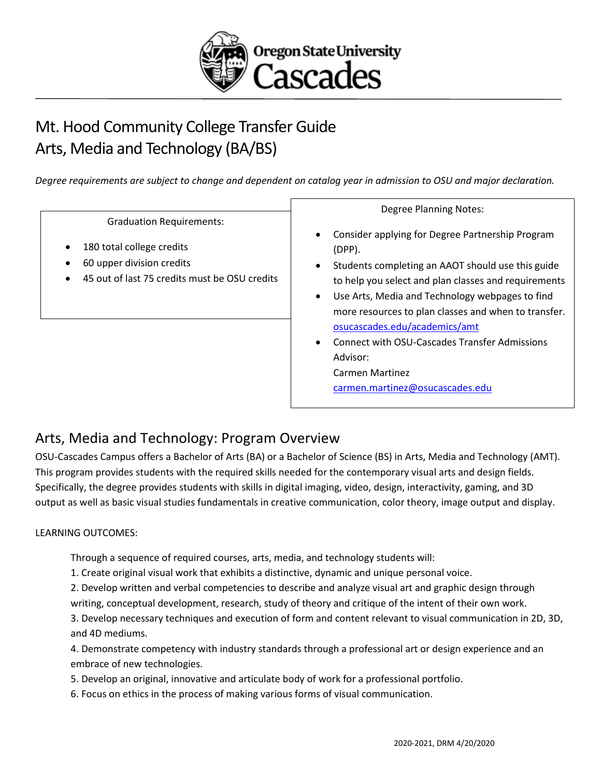

# Mt. Hood Community College Transfer Guide Arts, Media and Technology (BA/BS)

*Degree requirements are subject to change and dependent on catalog year in admission to OSU and major declaration.* 

Graduation Requirements:

- 180 total college credits
- 60 upper division credits
- 45 out of last 75 credits must be OSU credits

Degree Planning Notes:

- Consider applying for Degree Partnership Program (DPP).
- Students completing an AAOT should use this guide to help you select and plan classes and requirements
- Use Arts, Media and Technology webpages to find more resources to plan classes and when to transfer. [osucascades.edu/academics/amt](https://osucascades.edu/academics/amt)
- Connect with OSU-Cascades Transfer Admissions Advisor: Carmen Martinez [carmen.martinez@osucascades.edu](mailto:carmen.martinez@osucascades.edu)

## Arts, Media and Technology: Program Overview

OSU-Cascades Campus offers a Bachelor of Arts (BA) or a Bachelor of Science (BS) in Arts, Media and Technology (AMT). This program provides students with the required skills needed for the contemporary visual arts and design fields. Specifically, the degree provides students with skills in digital imaging, video, design, interactivity, gaming, and 3D output as well as basic visual studies fundamentals in creative communication, color theory, image output and display.

#### LEARNING OUTCOMES:

Through a sequence of required courses, arts, media, and technology students will:

1. Create original visual work that exhibits a distinctive, dynamic and unique personal voice.

2. Develop written and verbal competencies to describe and analyze visual art and graphic design through writing, conceptual development, research, study of theory and critique of the intent of their own work.

3. Develop necessary techniques and execution of form and content relevant to visual communication in 2D, 3D, and 4D mediums.

4. Demonstrate competency with industry standards through a professional art or design experience and an embrace of new technologies.

- 5. Develop an original, innovative and articulate body of work for a professional portfolio.
- 6. Focus on ethics in the process of making various forms of visual communication.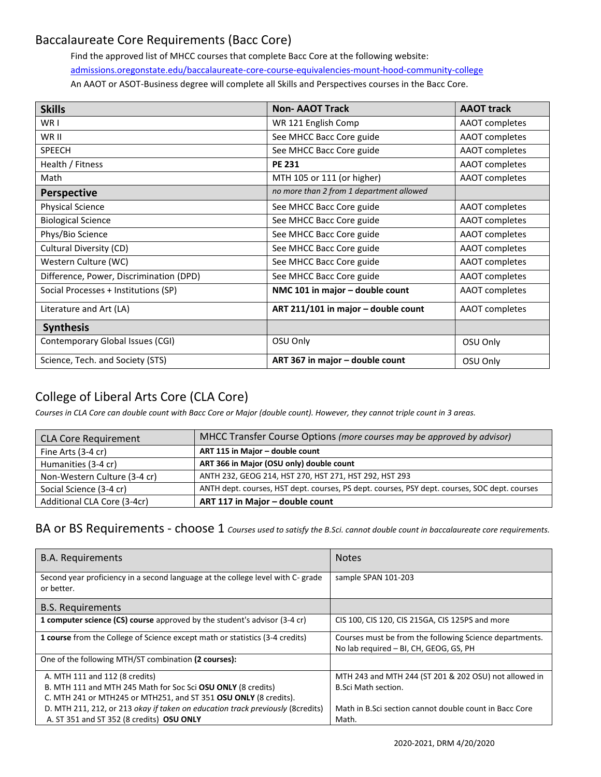#### Baccalaureate Core Requirements (Bacc Core)

Find the approved list of MHCC courses that complete Bacc Core at the following website: [admissions.oregonstate.edu/baccalaureate-core-course-equivalencies-mount-hood-community-college](https://admissions.oregonstate.edu/baccalaureate-core-course-equivalencies-mount-hood-community-college) An AAOT or ASOT-Business degree will complete all Skills and Perspectives courses in the Bacc Core.

| <b>Skills</b>                           | <b>Non-AAOT Track</b>                    | <b>AAOT track</b>     |
|-----------------------------------------|------------------------------------------|-----------------------|
| WR I                                    | WR 121 English Comp                      | AAOT completes        |
| WR II                                   | See MHCC Bacc Core guide                 | AAOT completes        |
| <b>SPEECH</b>                           | See MHCC Bacc Core guide                 | AAOT completes        |
| Health / Fitness                        | <b>PE 231</b>                            | AAOT completes        |
| Math                                    | MTH 105 or 111 (or higher)               | AAOT completes        |
| <b>Perspective</b>                      | no more than 2 from 1 department allowed |                       |
| <b>Physical Science</b>                 | See MHCC Bacc Core guide                 | <b>AAOT</b> completes |
| <b>Biological Science</b>               | See MHCC Bacc Core guide                 | AAOT completes        |
| Phys/Bio Science                        | See MHCC Bacc Core guide                 | AAOT completes        |
| Cultural Diversity (CD)                 | See MHCC Bacc Core guide                 | AAOT completes        |
| Western Culture (WC)                    | See MHCC Bacc Core guide                 | AAOT completes        |
| Difference, Power, Discrimination (DPD) | See MHCC Bacc Core guide                 | AAOT completes        |
| Social Processes + Institutions (SP)    | NMC 101 in major - double count          | AAOT completes        |
| Literature and Art (LA)                 | ART 211/101 in major - double count      | AAOT completes        |
| <b>Synthesis</b>                        |                                          |                       |
| Contemporary Global Issues (CGI)        | OSU Only                                 | OSU Only              |
| Science, Tech. and Society (STS)        | ART 367 in major - double count          | OSU Only              |

### College of Liberal Arts Core (CLA Core)

*Courses in CLA Core can double count with Bacc Core or Major (double count). However, they cannot triple count in 3 areas.*

| <b>CLA Core Requirement</b>  | MHCC Transfer Course Options (more courses may be approved by advisor)                        |
|------------------------------|-----------------------------------------------------------------------------------------------|
| Fine Arts (3-4 cr)           | ART 115 in Major - double count                                                               |
| Humanities (3-4 cr)          | ART 366 in Major (OSU only) double count                                                      |
| Non-Western Culture (3-4 cr) | ANTH 232, GEOG 214, HST 270, HST 271, HST 292, HST 293                                        |
| Social Science (3-4 cr)      | ANTH dept. courses, HST dept. courses, PS dept. courses, PSY dept. courses, SOC dept. courses |
| Additional CLA Core (3-4cr)  | ART 117 in Major - double count                                                               |

BA or BS Requirements - choose 1 *Courses used to satisfy the B.Sci. cannot double count in baccalaureate core requirements.* 

| <b>B.A. Requirements</b>                                                                      | <b>Notes</b>                                                                                      |
|-----------------------------------------------------------------------------------------------|---------------------------------------------------------------------------------------------------|
| Second year proficiency in a second language at the college level with C- grade<br>or better. | sample SPAN 101-203                                                                               |
| <b>B.S. Requirements</b>                                                                      |                                                                                                   |
| 1 computer science (CS) course approved by the student's advisor (3-4 cr)                     | CIS 100, CIS 120, CIS 215GA, CIS 125PS and more                                                   |
| <b>1 course</b> from the College of Science except math or statistics (3-4 credits)           | Courses must be from the following Science departments.<br>No lab required - BI, CH, GEOG, GS, PH |
| One of the following MTH/ST combination (2 courses):                                          |                                                                                                   |
| A. MTH 111 and 112 (8 credits)                                                                | MTH 243 and MTH 244 (ST 201 & 202 OSU) not allowed in                                             |
| B. MTH 111 and MTH 245 Math for Soc Sci OSU ONLY (8 credits)                                  | <b>B.Sci Math section.</b>                                                                        |
| C. MTH 241 or MTH245 or MTH251, and ST 351 OSU ONLY (8 credits).                              |                                                                                                   |
| D. MTH 211, 212, or 213 okay if taken on education track previously (8credits)                | Math in B.Sci section cannot double count in Bacc Core                                            |
| A. ST 351 and ST 352 (8 credits) OSU ONLY                                                     | Math.                                                                                             |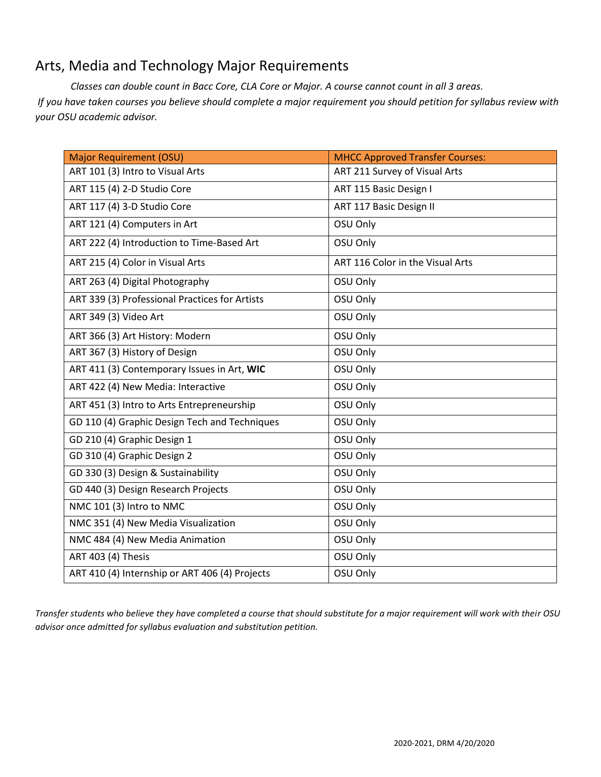# Arts, Media and Technology Major Requirements

*Classes can double count in Bacc Core, CLA Core or Major. A course cannot count in all 3 areas. If you have taken courses you believe should complete a major requirement you should petition for syllabus review with your OSU academic advisor.*

| <b>Major Requirement (OSU)</b>                 | <b>MHCC Approved Transfer Courses:</b> |
|------------------------------------------------|----------------------------------------|
| ART 101 (3) Intro to Visual Arts               | ART 211 Survey of Visual Arts          |
| ART 115 (4) 2-D Studio Core                    | ART 115 Basic Design I                 |
| ART 117 (4) 3-D Studio Core                    | ART 117 Basic Design II                |
| ART 121 (4) Computers in Art                   | OSU Only                               |
| ART 222 (4) Introduction to Time-Based Art     | OSU Only                               |
| ART 215 (4) Color in Visual Arts               | ART 116 Color in the Visual Arts       |
| ART 263 (4) Digital Photography                | OSU Only                               |
| ART 339 (3) Professional Practices for Artists | OSU Only                               |
| ART 349 (3) Video Art                          | OSU Only                               |
| ART 366 (3) Art History: Modern                | OSU Only                               |
| ART 367 (3) History of Design                  | OSU Only                               |
| ART 411 (3) Contemporary Issues in Art, WIC    | OSU Only                               |
| ART 422 (4) New Media: Interactive             | OSU Only                               |
| ART 451 (3) Intro to Arts Entrepreneurship     | OSU Only                               |
| GD 110 (4) Graphic Design Tech and Techniques  | OSU Only                               |
| GD 210 (4) Graphic Design 1                    | OSU Only                               |
| GD 310 (4) Graphic Design 2                    | OSU Only                               |
| GD 330 (3) Design & Sustainability             | OSU Only                               |
| GD 440 (3) Design Research Projects            | OSU Only                               |
| NMC 101 (3) Intro to NMC                       | OSU Only                               |
| NMC 351 (4) New Media Visualization            | OSU Only                               |
| NMC 484 (4) New Media Animation                | OSU Only                               |
| ART 403 (4) Thesis                             | OSU Only                               |
| ART 410 (4) Internship or ART 406 (4) Projects | OSU Only                               |

*Transfer students who believe they have completed a course that should substitute for a major requirement will work with their OSU advisor once admitted for syllabus evaluation and substitution petition.*